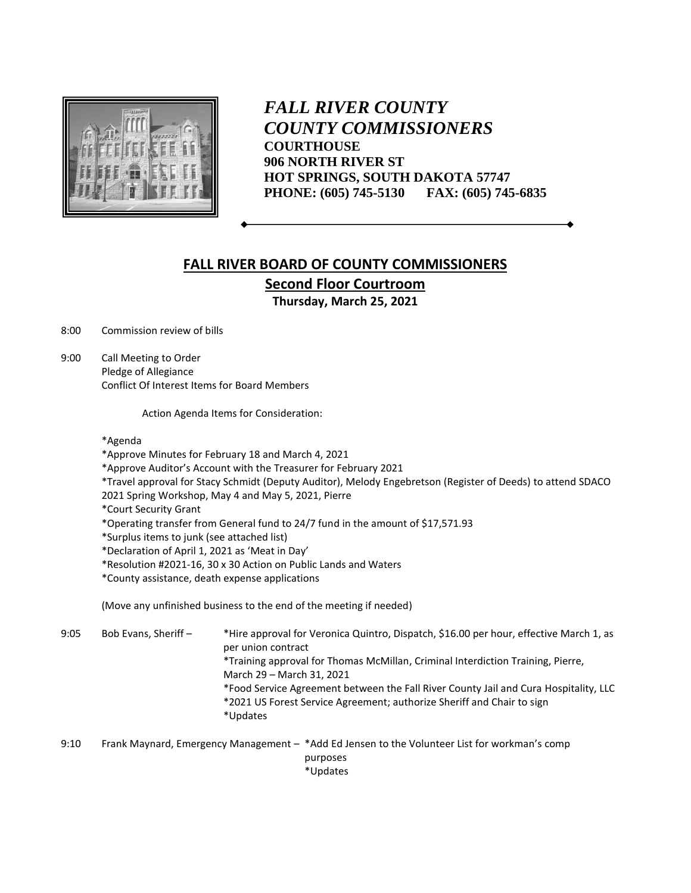

*FALL RIVER COUNTY COUNTY COMMISSIONERS* **COURTHOUSE 906 NORTH RIVER ST HOT SPRINGS, SOUTH DAKOTA 57747 PHONE: (605) 745-5130 FAX: (605) 745-6835**

## **FALL RIVER BOARD OF COUNTY COMMISSIONERS Second Floor Courtroom Thursday, March 25, 2021**

8:00 Commission review of bills

9:00 Call Meeting to Order Pledge of Allegiance Conflict Of Interest Items for Board Members

Action Agenda Items for Consideration:

## \*Agenda

- \*Approve Minutes for February 18 and March 4, 2021
- \*Approve Auditor's Account with the Treasurer for February 2021
- \*Travel approval for Stacy Schmidt (Deputy Auditor), Melody Engebretson (Register of Deeds) to attend SDACO
- 2021 Spring Workshop, May 4 and May 5, 2021, Pierre
- \*Court Security Grant
- \*Operating transfer from General fund to 24/7 fund in the amount of \$17,571.93

\*Surplus items to junk (see attached list)

- \*Declaration of April 1, 2021 as 'Meat in Day'
- \*Resolution #2021-16, 30 x 30 Action on Public Lands and Waters
- \*County assistance, death expense applications

(Move any unfinished business to the end of the meeting if needed)

9:05 Bob Evans, Sheriff – \*Hire approval for Veronica Quintro, Dispatch, \$16.00 per hour, effective March 1, as per union contract \*Training approval for Thomas McMillan, Criminal Interdiction Training, Pierre, March 29 – March 31, 2021 \*Food Service Agreement between the Fall River County Jail and Cura Hospitality, LLC \*2021 US Forest Service Agreement; authorize Sheriff and Chair to sign \*Updates

9:10 Frank Maynard, Emergency Management – \*Add Ed Jensen to the Volunteer List for workman's comp purposes \*Updates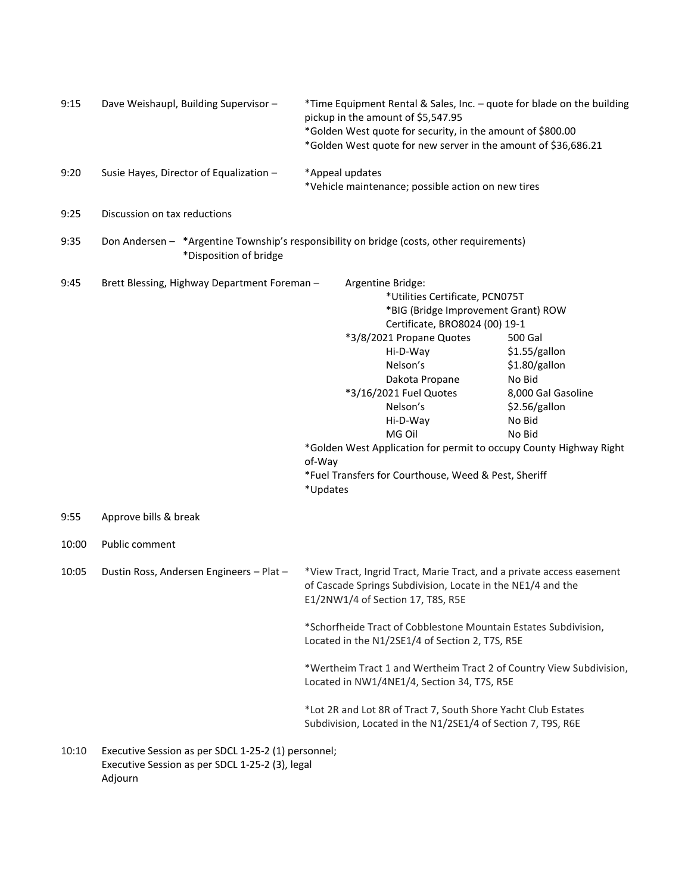| 9:15  | Dave Weishaupl, Building Supervisor -                                                                               |                    | *Time Equipment Rental & Sales, Inc. - quote for blade on the building<br>pickup in the amount of \$5,547.95<br>*Golden West quote for security, in the amount of \$800.00<br>*Golden West quote for new server in the amount of \$36,686.21                                                                                                                                                  |                                                                                                                |  |
|-------|---------------------------------------------------------------------------------------------------------------------|--------------------|-----------------------------------------------------------------------------------------------------------------------------------------------------------------------------------------------------------------------------------------------------------------------------------------------------------------------------------------------------------------------------------------------|----------------------------------------------------------------------------------------------------------------|--|
| 9:20  | Susie Hayes, Director of Equalization -                                                                             |                    | *Appeal updates<br>*Vehicle maintenance; possible action on new tires                                                                                                                                                                                                                                                                                                                         |                                                                                                                |  |
| 9:25  | Discussion on tax reductions                                                                                        |                    |                                                                                                                                                                                                                                                                                                                                                                                               |                                                                                                                |  |
| 9:35  | Don Andersen - *Argentine Township's responsibility on bridge (costs, other requirements)<br>*Disposition of bridge |                    |                                                                                                                                                                                                                                                                                                                                                                                               |                                                                                                                |  |
| 9:45  | Brett Blessing, Highway Department Foreman -                                                                        | of-Way<br>*Updates | Argentine Bridge:<br>*Utilities Certificate, PCN075T<br>*BIG (Bridge Improvement Grant) ROW<br>Certificate, BRO8024 (00) 19-1<br>*3/8/2021 Propane Quotes<br>Hi-D-Way<br>Nelson's<br>Dakota Propane<br>*3/16/2021 Fuel Quotes<br>Nelson's<br>Hi-D-Way<br>MG Oil<br>*Golden West Application for permit to occupy County Highway Right<br>*Fuel Transfers for Courthouse, Weed & Pest, Sheriff | 500 Gal<br>\$1.55/gallon<br>\$1.80/gallon<br>No Bid<br>8,000 Gal Gasoline<br>\$2.56/gallon<br>No Bid<br>No Bid |  |
| 9:55  | Approve bills & break                                                                                               |                    |                                                                                                                                                                                                                                                                                                                                                                                               |                                                                                                                |  |
| 10:00 | Public comment                                                                                                      |                    |                                                                                                                                                                                                                                                                                                                                                                                               |                                                                                                                |  |
| 10:05 | Dustin Ross, Andersen Engineers - Plat -                                                                            |                    | *View Tract, Ingrid Tract, Marie Tract, and a private access easement<br>of Cascade Springs Subdivision, Locate in the NE1/4 and the<br>E1/2NW1/4 of Section 17, T8S, R5E                                                                                                                                                                                                                     |                                                                                                                |  |
|       |                                                                                                                     |                    | *Schorfheide Tract of Cobblestone Mountain Estates Subdivision,<br>Located in the N1/2SE1/4 of Section 2, T7S, R5E                                                                                                                                                                                                                                                                            |                                                                                                                |  |
|       |                                                                                                                     |                    | *Wertheim Tract 1 and Wertheim Tract 2 of Country View Subdivision,<br>Located in NW1/4NE1/4, Section 34, T7S, R5E                                                                                                                                                                                                                                                                            |                                                                                                                |  |
|       |                                                                                                                     |                    | *Lot 2R and Lot 8R of Tract 7, South Shore Yacht Club Estates<br>Subdivision, Located in the N1/2SE1/4 of Section 7, T9S, R6E                                                                                                                                                                                                                                                                 |                                                                                                                |  |
| 10:10 | Executive Session as per SDCL 1-25-2 (1) personnel;<br>Executive Session as per SDCL 1-25-2 (3), legal<br>Adjourn   |                    |                                                                                                                                                                                                                                                                                                                                                                                               |                                                                                                                |  |